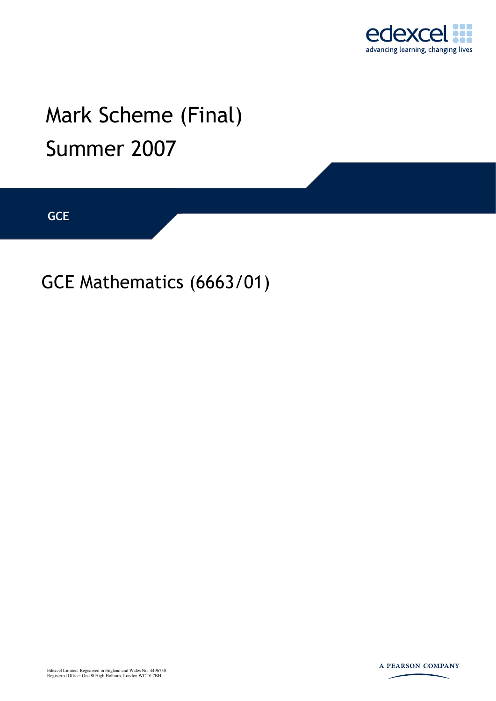

# Mark Scheme (Final) Summer 2007

**GCE** 

GCE Mathematics (6663/01)



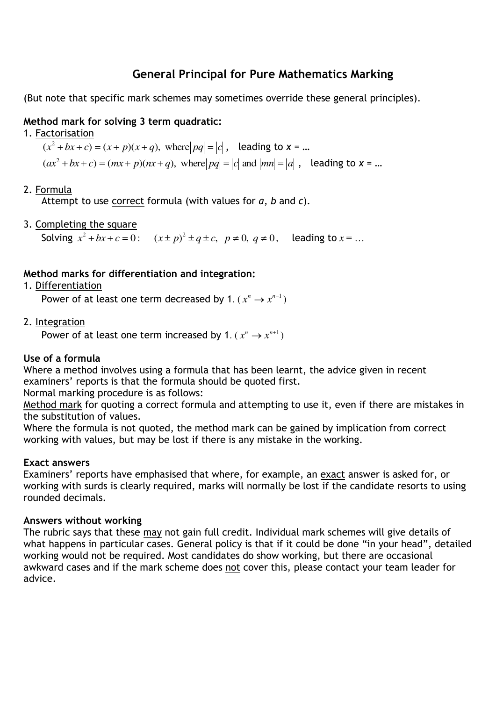## **General Principal for Pure Mathematics Marking**

(But note that specific mark schemes may sometimes override these general principles).

## **Method mark for solving 3 term quadratic:**

1. Factorisation

 $(x^2 + bx + c) = (x + p)(x + q)$ , where  $|pq| = |c|$ , leading to  $x = ...$ 

 $(ax^2 + bx + c) = (mx + p)(nx + q)$ , where  $|pq| = |c|$  and  $|mn| = |a|$ , leading to  $x = ...$ 

#### 2. Formula

Attempt to use correct formula (with values for *a*, *b* and *c*).

3. Completing the square

Solving  $x^2 + bx + c = 0$ :  $(x \pm p)^2 \pm q \pm c$ ,  $p \neq 0$ ,  $q \neq 0$ , leading to  $x = ...$ 

### **Method marks for differentiation and integration:**

1. Differentiation

Power of at least one term decreased by 1.  $(x^n \rightarrow x^{n-1})$ 

2. Integration

Power of at least one term increased by 1.  $(x^n \rightarrow x^{n+1})$ 

### **Use of a formula**

Where a method involves using a formula that has been learnt, the advice given in recent examiners' reports is that the formula should be quoted first.

Normal marking procedure is as follows:

Method mark for quoting a correct formula and attempting to use it, even if there are mistakes in the substitution of values.

Where the formula is not quoted, the method mark can be gained by implication from correct working with values, but may be lost if there is any mistake in the working.

### **Exact answers**

Examiners' reports have emphasised that where, for example, an exact answer is asked for, or working with surds is clearly required, marks will normally be lost if the candidate resorts to using rounded decimals.

#### **Answers without working**

The rubric says that these may not gain full credit. Individual mark schemes will give details of what happens in particular cases. General policy is that if it could be done "in your head", detailed working would not be required. Most candidates do show working, but there are occasional awkward cases and if the mark scheme does not cover this, please contact your team leader for advice.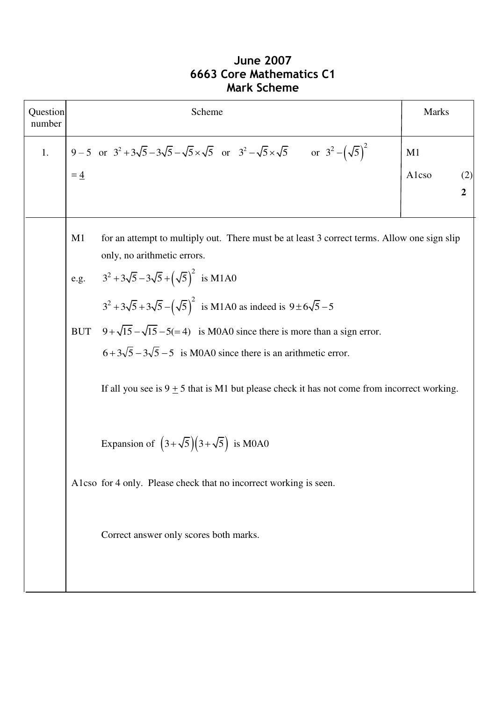# **June 2007 6663 Core Mathematics C1 Mark Scheme**

| Question<br>number |                | Scheme                                                                                                                      | <b>Marks</b> |                       |
|--------------------|----------------|-----------------------------------------------------------------------------------------------------------------------------|--------------|-----------------------|
| 1.                 |                | 9-5 or $3^2 + 3\sqrt{5} - 3\sqrt{5} - \sqrt{5} \times \sqrt{5}$ or $3^2 - \sqrt{5} \times \sqrt{5}$ or $3^2 - (\sqrt{5})^2$ | M1           |                       |
|                    | $= 4$          |                                                                                                                             | Alcso        | (2)<br>$\overline{2}$ |
|                    | M <sub>1</sub> | for an attempt to multiply out. There must be at least 3 correct terms. Allow one sign slip<br>only, no arithmetic errors.  |              |                       |
|                    |                | e.g. $3^2 + 3\sqrt{5} - 3\sqrt{5} + (\sqrt{5})^2$ is M1A0                                                                   |              |                       |
|                    |                | $3^2 + 3\sqrt{5} + 3\sqrt{5} - (\sqrt{5})^2$ is M1A0 as indeed is $9 \pm 6\sqrt{5} - 5$                                     |              |                       |
|                    |                | BUT $9 + \sqrt{15} - \sqrt{15} - 5 = 4$ is M0A0 since there is more than a sign error.                                      |              |                       |
|                    |                | $6+3\sqrt{5}-3\sqrt{5}-5$ is M0A0 since there is an arithmetic error.                                                       |              |                       |
|                    |                | If all you see is $9 \pm 5$ that is M1 but please check it has not come from incorrect working.                             |              |                       |
|                    |                | Expansion of $(3+\sqrt{5})(3+\sqrt{5})$ is M0A0                                                                             |              |                       |
|                    |                | A1cso for 4 only. Please check that no incorrect working is seen.                                                           |              |                       |
|                    |                | Correct answer only scores both marks.                                                                                      |              |                       |
|                    |                |                                                                                                                             |              |                       |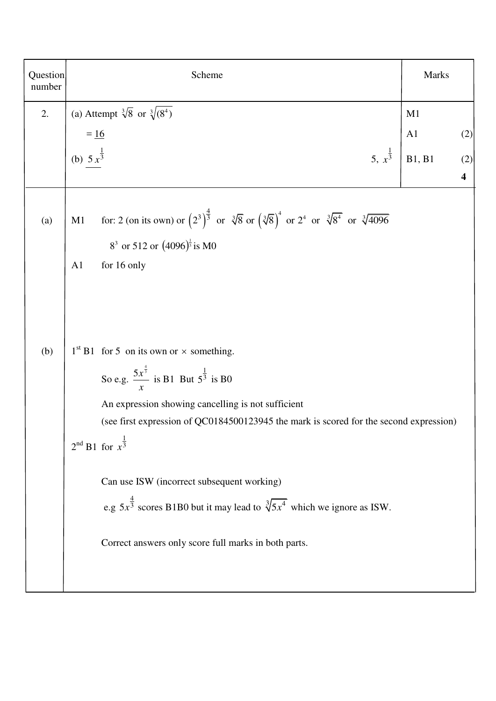| Question<br>number | Scheme                                                                                                                                                                                                                                                                                                                                                        | Marks          |                                |
|--------------------|---------------------------------------------------------------------------------------------------------------------------------------------------------------------------------------------------------------------------------------------------------------------------------------------------------------------------------------------------------------|----------------|--------------------------------|
| 2.                 | (a) Attempt $\sqrt[3]{8}$ or $\sqrt[3]{(8^4)}$                                                                                                                                                                                                                                                                                                                | M1             |                                |
|                    |                                                                                                                                                                                                                                                                                                                                                               | A <sub>1</sub> | (2)                            |
|                    | $=$ $\frac{16}{(b)}$<br>(b) $5x^{\frac{1}{3}}$<br>5, $x^{\frac{1}{3}}$                                                                                                                                                                                                                                                                                        | B1, B1         | (2)<br>$\overline{\mathbf{4}}$ |
| (a)                | for: 2 (on its own) or $(2^3)^{\frac{4}{3}}$ or $\sqrt[3]{8}$ or $(\sqrt[3]{8})^4$ or $2^4$ or $\sqrt[3]{8^4}$ or $\sqrt[3]{4096}$<br>M1<br>$8^3$ or 512 or $(4096)^{\frac{1}{3}}$ is M0<br>for 16 only<br>A1                                                                                                                                                 |                |                                |
| (b)                | $1st B1$ for 5 on its own or $\times$ something.<br>So e.g. $\frac{5x^{\frac{4}{3}}}{x}$ is B1 But $5^{\frac{1}{3}}$ is B0<br>An expression showing cancelling is not sufficient<br>(see first expression of QC0184500123945 the mark is scored for the second expression)<br>$2^{nd}$ B1 for $x^{\frac{1}{3}}$<br>Can use ISW (incorrect subsequent working) |                |                                |
|                    | e.g $5x^{\frac{4}{3}}$ scores B1B0 but it may lead to $\sqrt[3]{5x^4}$ which we ignore as ISW.<br>Correct answers only score full marks in both parts.                                                                                                                                                                                                        |                |                                |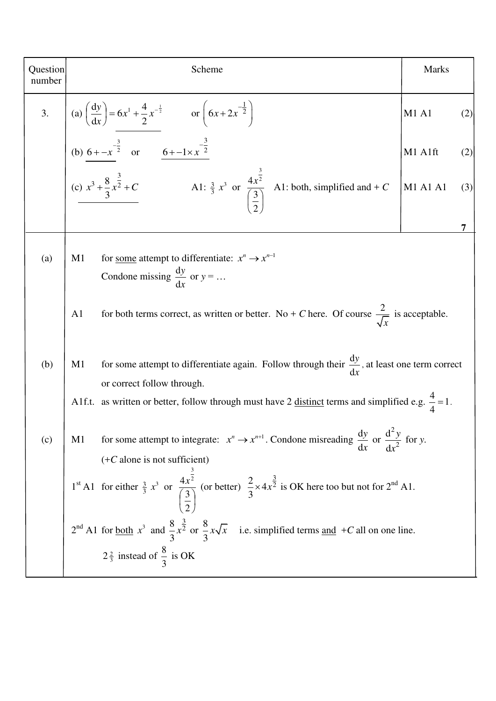| Question<br>number | Scheme                                                                                                                                                                                                                                                                                                                                                                       | <b>Marks</b> |     |
|--------------------|------------------------------------------------------------------------------------------------------------------------------------------------------------------------------------------------------------------------------------------------------------------------------------------------------------------------------------------------------------------------------|--------------|-----|
|                    |                                                                                                                                                                                                                                                                                                                                                                              | M1 A1        | (2) |
|                    |                                                                                                                                                                                                                                                                                                                                                                              | M1 A1ft      | (2) |
|                    | 3. (a) $\left(\frac{dy}{dx}\right) = 6x^1 + \frac{4}{2}x^{-\frac{1}{2}}$ or $\left(6x + 2x^{-\frac{1}{2}}\right)$<br>(b) $\frac{6 + x^{-\frac{3}{2}}}{\frac{6 + x^{-\frac{3}{2}}}{3}}$ or $\frac{6 + -1 \times x^{-\frac{3}{2}}}{\frac{6 + x^{-\frac{3}{2}}}{3}}$<br>(c) $x^3 + \frac{8}{3}x^{\frac{3}{2}} + C$<br>A1: $\frac{3}{3}x^3$ or $\frac{4x^{\frac{3}{2}}}{\left(\$ | M1 A1 A1     | (3) |
|                    |                                                                                                                                                                                                                                                                                                                                                                              |              |     |
| (a)                | for <u>some</u> attempt to differentiate: $x^n \rightarrow x^{n-1}$<br>M1<br>Condone missing $\frac{dy}{dx}$ or $y = $                                                                                                                                                                                                                                                       |              |     |
|                    | for both terms correct, as written or better. No + C here. Of course $\frac{2}{\sqrt{x}}$ is acceptable.<br>A <sub>1</sub>                                                                                                                                                                                                                                                   |              |     |
| (b)                | for some attempt to differentiate again. Follow through their $\frac{dy}{dx}$ , at least one term correct<br>M1<br>or correct follow through.                                                                                                                                                                                                                                |              |     |
|                    | A1f.t. as written or better, follow through must have 2 <u>distinct</u> terms and simplified e.g. $\frac{4}{4} = 1$ .                                                                                                                                                                                                                                                        |              |     |
| (c)                | for some attempt to integrate: $x^n \to x^{n+1}$ . Condone misreading $\frac{dy}{dx}$ or $\frac{d^2y}{dx^2}$ for y.<br>M1<br>$(+C$ alone is not sufficient)                                                                                                                                                                                                                  |              |     |
|                    | 1 <sup>st</sup> A1 for either $\frac{3}{3}x^3$ or $\frac{4x^{\frac{3}{2}}}{\left(\frac{3}{2}\right)}$ (or better) $\frac{2}{3} \times 4x^{\frac{3}{2}}$ is OK here too but not for 2 <sup>nd</sup> A1.                                                                                                                                                                       |              |     |
|                    | $2^{nd}$ A1 for <u>both</u> $x^3$ and $\frac{8}{3}x^{\frac{3}{2}}$ or $\frac{8}{3}x\sqrt{x}$ i.e. simplified terms <u>and</u> + <i>C</i> all on one line.                                                                                                                                                                                                                    |              |     |
|                    | $2\frac{2}{3}$ instead of $\frac{8}{3}$ is OK                                                                                                                                                                                                                                                                                                                                |              |     |

 $\overline{a}$ 

 $\mathbf{I}$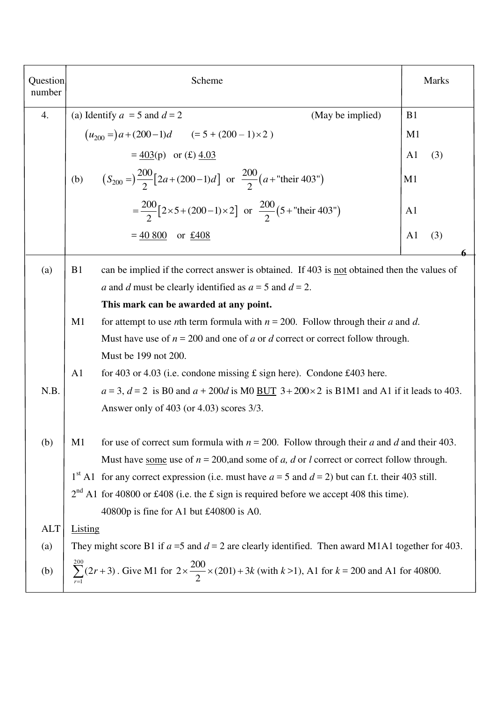| Question<br>number | Scheme                                                                                                                                                                                                                                                                                                                                                                                                                                                                                        | <b>Marks</b>          |  |
|--------------------|-----------------------------------------------------------------------------------------------------------------------------------------------------------------------------------------------------------------------------------------------------------------------------------------------------------------------------------------------------------------------------------------------------------------------------------------------------------------------------------------------|-----------------------|--|
| 4.                 | (a) Identify $a = 5$ and $d = 2$<br>(May be implied)                                                                                                                                                                                                                                                                                                                                                                                                                                          | B <sub>1</sub>        |  |
|                    | $(u_{200} =) a + (200 - 1)d$ $(= 5 + (200 - 1) \times 2)$                                                                                                                                                                                                                                                                                                                                                                                                                                     | M1                    |  |
|                    | $= 403(p)$ or (£) 4.03                                                                                                                                                                                                                                                                                                                                                                                                                                                                        | A <sub>1</sub><br>(3) |  |
|                    | $(S_{200} = \frac{200}{2} [2a + (200-1)d]$ or $\frac{200}{2} (a +$ "their 403")<br>(b)                                                                                                                                                                                                                                                                                                                                                                                                        | M <sub>1</sub>        |  |
|                    | $=\frac{200}{2}[2\times5+(200-1)\times2]$ or $\frac{200}{2}(5+$ "their 403")                                                                                                                                                                                                                                                                                                                                                                                                                  | A <sub>1</sub>        |  |
|                    | $= 40,800$<br>or $£408$                                                                                                                                                                                                                                                                                                                                                                                                                                                                       | A <sub>1</sub><br>(3) |  |
| (a)                | can be implied if the correct answer is obtained. If 403 is not obtained then the values of<br>B <sub>1</sub><br>a and d must be clearly identified as $a = 5$ and $d = 2$ .<br>This mark can be awarded at any point.                                                                                                                                                                                                                                                                        |                       |  |
|                    | M1<br>for attempt to use <i>n</i> th term formula with $n = 200$ . Follow through their <i>a</i> and <i>d</i> .<br>Must have use of $n = 200$ and one of a or d correct or correct follow through.<br>Must be 199 not 200.                                                                                                                                                                                                                                                                    |                       |  |
| N.B.               | A <sub>1</sub><br>for 403 or 4.03 (i.e. condone missing $\pounds$ sign here). Condone £403 here.<br>$a = 3$ , $d = 2$ is B0 and $a + 200d$ is M0 BUT $3 + 200 \times 2$ is B1M1 and A1 if it leads to 403.<br>Answer only of $403$ (or $4.03$ ) scores $3/3$ .                                                                                                                                                                                                                                |                       |  |
| (b)                | for use of correct sum formula with $n = 200$ . Follow through their a and d and their 403.<br>M <sub>1</sub><br>Must have <u>some</u> use of $n = 200$ , and some of a, d or l correct or correct follow through.<br>1 <sup>st</sup> A1 for any correct expression (i.e. must have $a = 5$ and $d = 2$ ) but can f.t. their 403 still.<br>$2nd$ A1 for 40800 or £408 (i.e. the £ sign is required before we accept 408 this time).<br>40800p is fine for A1 but $\text{\pounds}40800$ is A0. |                       |  |
| <b>ALT</b>         | <b>Listing</b>                                                                                                                                                                                                                                                                                                                                                                                                                                                                                |                       |  |
| (a)                | They might score B1 if $a = 5$ and $d = 2$ are clearly identified. Then award M1A1 together for 403.                                                                                                                                                                                                                                                                                                                                                                                          |                       |  |
| (b)                | $\sum_{1}^{200} (2r+3)$ . Give M1 for $2 \times \frac{200}{2} \times (201) + 3k$ (with $k > 1$ ), A1 for $k = 200$ and A1 for 40800.                                                                                                                                                                                                                                                                                                                                                          |                       |  |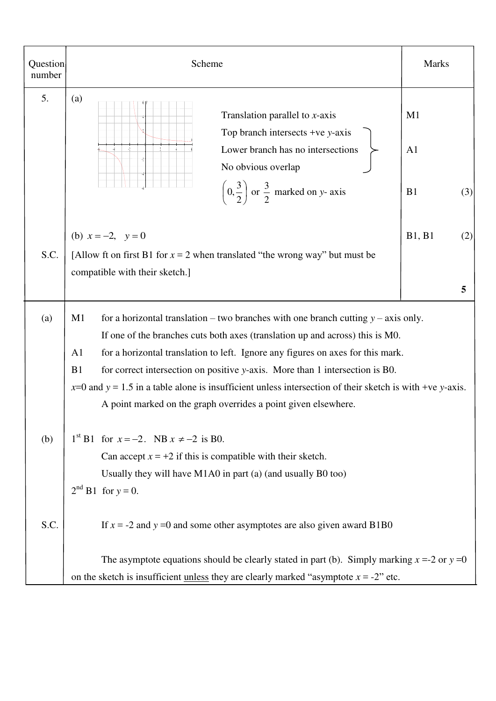| Question<br>number | Scheme                                                                                                                                                                                                                                                                                                                                                                                                                                                                                                                                                   | <b>Marks</b>                      |
|--------------------|----------------------------------------------------------------------------------------------------------------------------------------------------------------------------------------------------------------------------------------------------------------------------------------------------------------------------------------------------------------------------------------------------------------------------------------------------------------------------------------------------------------------------------------------------------|-----------------------------------|
| 5.                 | (a)<br>Translation parallel to $x$ -axis<br>Top branch intersects +ve $y$ -axis<br>J)                                                                                                                                                                                                                                                                                                                                                                                                                                                                    | M1                                |
|                    | Lower branch has no intersections<br>No obvious overlap<br>$\left(0, \frac{3}{2}\right)$ or $\frac{3}{2}$ marked on y- axis                                                                                                                                                                                                                                                                                                                                                                                                                              | A <sub>1</sub><br>B1<br>(3)       |
| S.C.               | (b) $x = -2$ , $y = 0$<br>[Allow ft on first B1 for $x = 2$ when translated "the wrong way" but must be<br>compatible with their sketch.]                                                                                                                                                                                                                                                                                                                                                                                                                | <b>B1</b> , <b>B1</b><br>(2)<br>5 |
| (a)                | for a horizontal translation – two branches with one branch cutting $y$ – axis only.<br>M1<br>If one of the branches cuts both axes (translation up and across) this is M0.<br>for a horizontal translation to left. Ignore any figures on axes for this mark.<br>A <sub>1</sub><br>B1<br>for correct intersection on positive y-axis. More than 1 intersection is B0.<br>$x=0$ and $y = 1.5$ in a table alone is insufficient unless intersection of their sketch is with +ve y-axis.<br>A point marked on the graph overrides a point given elsewhere. |                                   |
| (b)                | $1^{st}$ B1 for $x = -2$ . NB $x \neq -2$ is B0.<br>Can accept $x = +2$ if this is compatible with their sketch.<br>Usually they will have M1A0 in part (a) (and usually B0 too)<br>$2^{nd}$ B1 for $y = 0$ .                                                                                                                                                                                                                                                                                                                                            |                                   |
| S.C.               | If $x = -2$ and $y = 0$ and some other asymptotes are also given award B1B0<br>The asymptote equations should be clearly stated in part (b). Simply marking $x = -2$ or $y = 0$                                                                                                                                                                                                                                                                                                                                                                          |                                   |
|                    | on the sketch is insufficient <u>unless</u> they are clearly marked "asymptote $x = -2$ " etc.                                                                                                                                                                                                                                                                                                                                                                                                                                                           |                                   |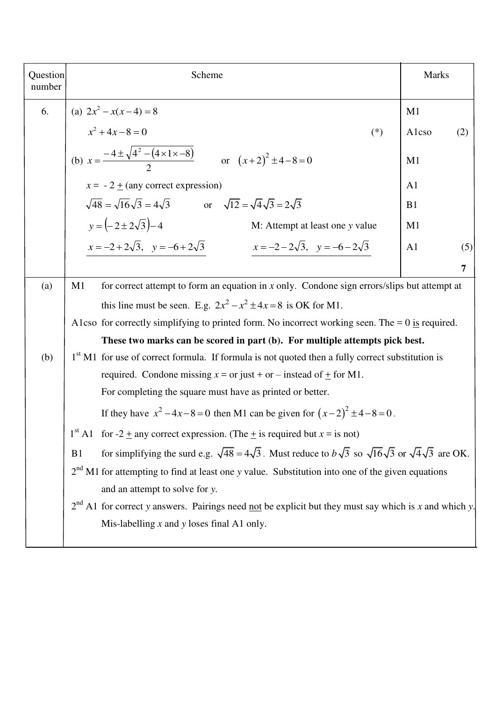| Question<br>number | Scheme                                                                                                                                        | Marks                 |  |  |
|--------------------|-----------------------------------------------------------------------------------------------------------------------------------------------|-----------------------|--|--|
| 6.                 | (a) $2x^2 - x(x-4) = 8$                                                                                                                       | M1                    |  |  |
|                    | $x^2 + 4x - 8 = 0$<br>$(*)$                                                                                                                   | Alcso<br>(2)          |  |  |
|                    | (b) $x = \frac{-4 \pm \sqrt{4^2 - (4 \times 1 \times -8)}}{2}$ or $(x+2)^2 \pm 4 - 8 = 0$                                                     | M1                    |  |  |
|                    | $x = -2 \pm (any correct expression)$                                                                                                         | A1                    |  |  |
|                    | $\sqrt{48} = \sqrt{16}\sqrt{3} = 4\sqrt{3}$ or $\sqrt{12} = \sqrt{4}\sqrt{3} = 2\sqrt{3}$                                                     | B1                    |  |  |
|                    | $y = (-2 \pm 2\sqrt{3}) - 4$<br>M: Attempt at least one y value                                                                               | M <sub>1</sub>        |  |  |
|                    | $x = -2 + 2\sqrt{3}$ , $y = -6 + 2\sqrt{3}$<br>$x = -2 - 2\sqrt{3}$ , $y = -6 - 2\sqrt{3}$                                                    | A <sub>1</sub><br>(5) |  |  |
|                    |                                                                                                                                               | 7                     |  |  |
| (a)                | for correct attempt to form an equation in $x$ only. Condone sign errors/slips but attempt at<br>M <sub>1</sub>                               |                       |  |  |
|                    | this line must be seen. E.g. $2x^2 - x^2 \pm 4x = 8$ is OK for M1.                                                                            |                       |  |  |
|                    | A1cso for correctly simplifying to printed form. No incorrect working seen. The = $0$ is required.                                            |                       |  |  |
|                    | These two marks can be scored in part (b). For multiple attempts pick best.                                                                   |                       |  |  |
| (b)                | 1 <sup>st</sup> M1 for use of correct formula. If formula is not quoted then a fully correct substitution is                                  |                       |  |  |
|                    | required. Condone missing $x = or$ just + or – instead of $\pm$ for M1.                                                                       |                       |  |  |
|                    | For completing the square must have as printed or better.                                                                                     |                       |  |  |
|                    | If they have $x^2 - 4x - 8 = 0$ then M1 can be given for $(x-2)^2 \pm 4 - 8 = 0$ .                                                            |                       |  |  |
|                    | $1st$ A1 for -2 $\pm$ any correct expression. (The $\pm$ is required but $x =$ is not)                                                        |                       |  |  |
|                    | for simplifying the surd e.g. $\sqrt{48} = 4\sqrt{3}$ . Must reduce to $b\sqrt{3}$ so $\sqrt{16}\sqrt{3}$ or $\sqrt{4}\sqrt{3}$ are OK.<br>B1 |                       |  |  |
|                    | $2nd$ M1 for attempting to find at least one y value. Substitution into one of the given equations                                            |                       |  |  |
|                    | and an attempt to solve for y.                                                                                                                |                       |  |  |
|                    | $2nd$ A1 for correct y answers. Pairings need <u>not</u> be explicit but they must say which is x and which y.                                |                       |  |  |
|                    | Mis-labelling $x$ and $y$ loses final A1 only.                                                                                                |                       |  |  |
|                    |                                                                                                                                               |                       |  |  |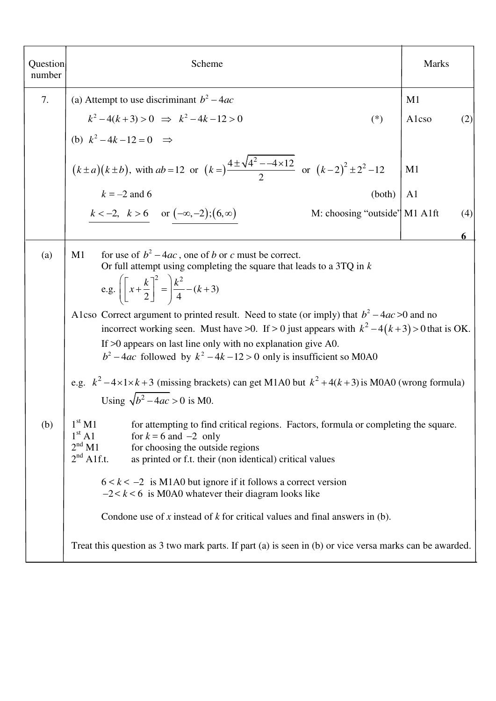| Question<br>number | Scheme                                                                                                                                                                                                                                                                                                                                                                                                                                                                                                                                                                                                                                                                                                                         |        | <b>Marks</b>   |     |
|--------------------|--------------------------------------------------------------------------------------------------------------------------------------------------------------------------------------------------------------------------------------------------------------------------------------------------------------------------------------------------------------------------------------------------------------------------------------------------------------------------------------------------------------------------------------------------------------------------------------------------------------------------------------------------------------------------------------------------------------------------------|--------|----------------|-----|
| 7.                 | (a) Attempt to use discriminant $b^2 - 4ac$                                                                                                                                                                                                                                                                                                                                                                                                                                                                                                                                                                                                                                                                                    |        | M1             |     |
|                    | $k^2-4(k+3) > 0 \Rightarrow k^2-4k-12 > 0$                                                                                                                                                                                                                                                                                                                                                                                                                                                                                                                                                                                                                                                                                     | $(*)$  | Alcso          | (2) |
|                    | (b) $k^2 - 4k - 12 = 0 \implies$                                                                                                                                                                                                                                                                                                                                                                                                                                                                                                                                                                                                                                                                                               |        |                |     |
|                    | $(k \pm a)(k \pm b)$ , with $ab = 12$ or $(k = )\frac{4 \pm \sqrt{4^2 - 4 \times 12}}{2}$ or $(k - 2)^2 \pm 2^2 - 12$                                                                                                                                                                                                                                                                                                                                                                                                                                                                                                                                                                                                          |        | M1             |     |
|                    | $k = -2$ and 6                                                                                                                                                                                                                                                                                                                                                                                                                                                                                                                                                                                                                                                                                                                 | (both) | A <sub>1</sub> |     |
|                    | $k < -2, \, k > 6 \, \text{or } (-\infty, -2); (6, \infty)$<br>M: choosing "outside" M1 A1ft                                                                                                                                                                                                                                                                                                                                                                                                                                                                                                                                                                                                                                   |        |                | (4) |
|                    |                                                                                                                                                                                                                                                                                                                                                                                                                                                                                                                                                                                                                                                                                                                                |        |                |     |
| (a)                | for use of $b^2 - 4ac$ , one of b or c must be correct.<br>M1<br>Or full attempt using completing the square that leads to a $3TQ$ in $k$<br>e.g. $\left[\left[x+\frac{k}{2}\right]^2 = \frac{k^2}{4} - (k+3)\right]$<br>A1cso Correct argument to printed result. Need to state (or imply) that $b^2 - 4ac > 0$ and no<br>incorrect working seen. Must have >0. If > 0 just appears with $k^2 - 4(k+3) > 0$ that is OK.<br>If $>0$ appears on last line only with no explanation give A0.<br>$b^2 - 4ac$ followed by $k^2 - 4k - 12 > 0$ only is insufficient so M0A0<br>e.g. $k^2 - 4 \times 1 \times k + 3$ (missing brackets) can get M1A0 but $k^2 + 4(k+3)$ is M0A0 (wrong formula)<br>Using $\sqrt{b^2-4ac} > 0$ is M0. |        |                |     |
| (b)                | 1 <sup>st</sup> M1<br>for attempting to find critical regions. Factors, formula or completing the square.<br>1 <sup>st</sup> A1<br>for $k = 6$ and $-2$ only<br>2 <sup>nd</sup> M1<br>for choosing the outside regions<br>$2nd$ A1f.t.<br>as printed or f.t. their (non identical) critical values<br>$6 < k < -2$ is M1A0 but ignore if it follows a correct version<br>$-2 < k < 6$ is M0A0 whatever their diagram looks like<br>Condone use of x instead of $k$ for critical values and final answers in (b).<br>Treat this question as 3 two mark parts. If part (a) is seen in (b) or vice versa marks can be awarded.                                                                                                    |        |                |     |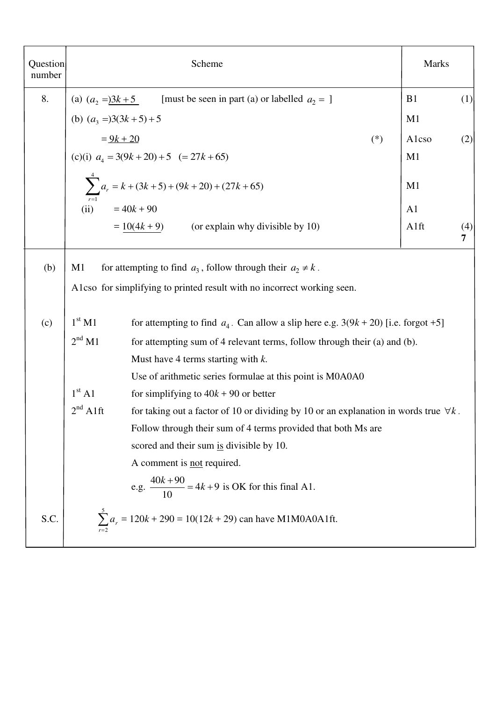| Question<br>number | Scheme                                                                                                                                              | <b>Marks</b>   |     |
|--------------------|-----------------------------------------------------------------------------------------------------------------------------------------------------|----------------|-----|
| 8.                 |                                                                                                                                                     | B1             | (1) |
|                    | (a) $(a_2 =)3k + 5$ [must be seen in part (a) or labelled $a_2 = 1$<br>(b) $(a_3 =)3(3k + 5) + 5$                                                   | M1             |     |
|                    | $= 9k + 20$<br>$(*)$                                                                                                                                | Alcso          | (2) |
|                    | (c)(i) $a_4 = 3(9k + 20) + 5$ (= 27k + 65)                                                                                                          | M1             |     |
|                    | $\sum_{r=1}^{4} a_r = k + (3k + 5) + (9k + 20) + (27k + 65)$                                                                                        | M1             |     |
|                    | $= 40k + 90$<br>(ii)                                                                                                                                | A <sub>1</sub> |     |
|                    | $= 10(4k + 9)$ (or explain why divisible by 10)                                                                                                     | A1ft           | (4) |
| (b)                | M1<br>for attempting to find $a_3$ , follow through their $a_2 \neq k$ .<br>Alcso for simplifying to printed result with no incorrect working seen. |                |     |
| (c)                | $1^{\rm st}$ M1<br>for attempting to find $a_4$ . Can allow a slip here e.g. $3(9k + 20)$ [i.e. forgot +5]                                          |                |     |
|                    | 2 <sup>nd</sup> M1<br>for attempting sum of 4 relevant terms, follow through their (a) and (b).                                                     |                |     |
|                    | Must have 4 terms starting with $k$ .                                                                                                               |                |     |
|                    | Use of arithmetic series formulae at this point is M0A0A0                                                                                           |                |     |
|                    | 1 <sup>st</sup> A1<br>for simplifying to $40k + 90$ or better                                                                                       |                |     |
|                    | $2nd$ A1ft<br>for taking out a factor of 10 or dividing by 10 or an explanation in words true $\forall k$ .                                         |                |     |
|                    | Follow through their sum of 4 terms provided that both Ms are                                                                                       |                |     |
|                    | scored and their sum is divisible by 10.                                                                                                            |                |     |
|                    | A comment is not required.                                                                                                                          |                |     |
|                    | e.g. $\frac{40k+90}{10} = 4k+9$ is OK for this final A1.                                                                                            |                |     |
| S.C.               | $\sum_{n=1}^{5} a_n = 120k + 290 = 10(12k + 29)$ can have M1M0A0A1ft.                                                                               |                |     |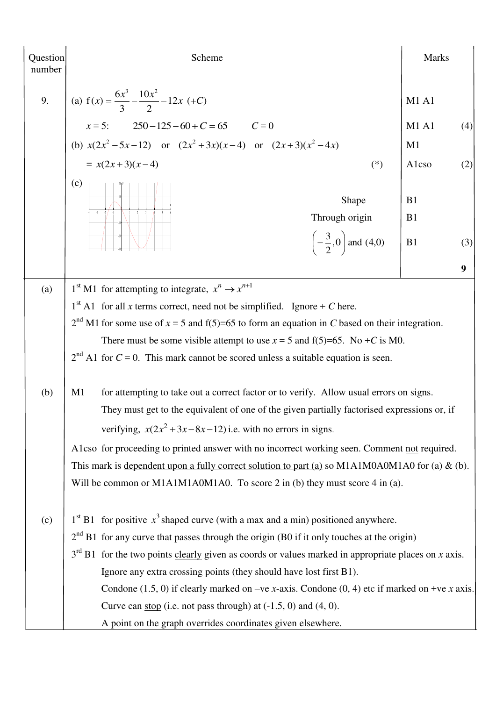| Question<br>number | Scheme                                                                                                                                                                                                                                                     | <b>Marks</b>                                                                                      |  |  |
|--------------------|------------------------------------------------------------------------------------------------------------------------------------------------------------------------------------------------------------------------------------------------------------|---------------------------------------------------------------------------------------------------|--|--|
| 9.                 | (a) $f(x) = \frac{6x^3}{3} - \frac{10x^2}{2} - 12x$ (+C)                                                                                                                                                                                                   | <b>M1 A1</b>                                                                                      |  |  |
|                    | $x = 5$ : $250-125-60+C=65$ $C=0$                                                                                                                                                                                                                          | M1A1<br>(4)                                                                                       |  |  |
|                    | (b) $x(2x^2-5x-12)$ or $(2x^2+3x)(x-4)$ or $(2x+3)(x^2-4x)$                                                                                                                                                                                                | M <sub>1</sub>                                                                                    |  |  |
|                    | $= x(2x+3)(x-4)$<br>$(*)$                                                                                                                                                                                                                                  | Alcso<br>(2)                                                                                      |  |  |
|                    | (c)<br>Shape<br>Through origin                                                                                                                                                                                                                             | B1<br>B1                                                                                          |  |  |
|                    | $\left(-\frac{3}{2},0\right)$ and (4,0)                                                                                                                                                                                                                    | B1<br>(3)                                                                                         |  |  |
|                    |                                                                                                                                                                                                                                                            | 9                                                                                                 |  |  |
| (a)                | 1 <sup>st</sup> M1 for attempting to integrate, $x^n \rightarrow x^{n+1}$                                                                                                                                                                                  |                                                                                                   |  |  |
|                    | $1st$ A1 for all <i>x</i> terms correct, need not be simplified. Ignore + <i>C</i> here.                                                                                                                                                                   |                                                                                                   |  |  |
|                    |                                                                                                                                                                                                                                                            | $2nd$ M1 for some use of $x = 5$ and f(5)=65 to form an equation in C based on their integration. |  |  |
|                    | There must be some visible attempt to use $x = 5$ and f(5)=65. No +C is M0.                                                                                                                                                                                |                                                                                                   |  |  |
|                    | $2nd$ A1 for $C = 0$ . This mark cannot be scored unless a suitable equation is seen.                                                                                                                                                                      |                                                                                                   |  |  |
| (b)                | for attempting to take out a correct factor or to verify. Allow usual errors on signs.<br>M1<br>They must get to the equivalent of one of the given partially factorised expressions or, if<br>verifying, $x(2x^2+3x-8x-12)$ i.e. with no errors in signs. |                                                                                                   |  |  |
|                    | A1cso for proceeding to printed answer with no incorrect working seen. Comment not required.                                                                                                                                                               |                                                                                                   |  |  |
|                    | This mark is dependent upon a fully correct solution to part (a) so M1A1M0A0M1A0 for (a) $\&$ (b).<br>Will be common or M1A1M1A0M1A0. To score 2 in (b) they must score 4 in (a).                                                                          |                                                                                                   |  |  |
| (c)                | $1st$ B1 for positive $x3$ shaped curve (with a max and a min) positioned anywhere.                                                                                                                                                                        |                                                                                                   |  |  |
|                    | $2nd$ B1 for any curve that passes through the origin (B0 if it only touches at the origin)                                                                                                                                                                |                                                                                                   |  |  |
|                    | $3rd$ B1 for the two points clearly given as coords or values marked in appropriate places on x axis.                                                                                                                                                      |                                                                                                   |  |  |
|                    | Ignore any extra crossing points (they should have lost first B1).                                                                                                                                                                                         |                                                                                                   |  |  |
|                    | Condone (1.5, 0) if clearly marked on –ve x-axis. Condone (0, 4) etc if marked on +ve x axis.                                                                                                                                                              |                                                                                                   |  |  |
|                    | Curve can stop (i.e. not pass through) at $(-1.5, 0)$ and $(4, 0)$ .                                                                                                                                                                                       |                                                                                                   |  |  |
|                    | A point on the graph overrides coordinates given elsewhere.                                                                                                                                                                                                |                                                                                                   |  |  |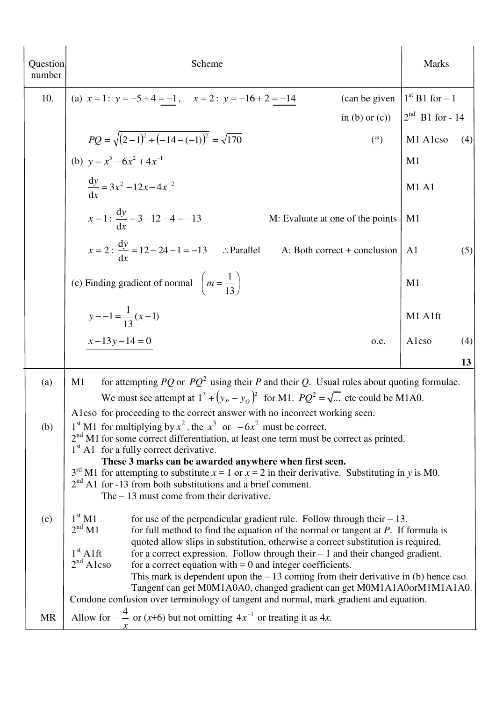| Question<br>number | Scheme                                                                                                                                                                                                         | <b>Marks</b>          |  |  |
|--------------------|----------------------------------------------------------------------------------------------------------------------------------------------------------------------------------------------------------------|-----------------------|--|--|
| 10.                | (a) $x=1$ : $y=-5+4=-1$ , $x=2$ : $y=-16+2=-14$<br>(can be given                                                                                                                                               | $1st$ B1 for $-1$     |  |  |
|                    | in (b) or $(c)$ )                                                                                                                                                                                              | $2^{nd}$ B1 for - 14  |  |  |
|                    | $PQ = \sqrt{(2-1)^2 + (-14-(-1))^2} = \sqrt{170}$<br>$(*)$                                                                                                                                                     | M1 A1cso<br>(4)       |  |  |
|                    | (b) $y = x^3 - 6x^2 + 4x^{-1}$                                                                                                                                                                                 | M <sub>1</sub>        |  |  |
|                    | $\frac{dy}{dx} = 3x^2 - 12x - 4x^{-2}$                                                                                                                                                                         | M1A1                  |  |  |
|                    | $x=1$ : $\frac{dy}{dx}$ = 3 - 12 - 4 = -13<br>M: Evaluate at one of the points                                                                                                                                 | M <sub>1</sub>        |  |  |
|                    | $x = 2$ : $\frac{dy}{dx} = 12 - 24 - 1 = -13$ . Parallel<br>A: Both correct + conclusion                                                                                                                       | A <sub>1</sub><br>(5) |  |  |
|                    | (c) Finding gradient of normal $\left( m = \frac{1}{13} \right)$                                                                                                                                               | M <sub>1</sub>        |  |  |
|                    | $y - -1 = \frac{1}{13}(x-1)$                                                                                                                                                                                   | M1 A1ft               |  |  |
|                    | $x-13y-14=0$<br>o.e.                                                                                                                                                                                           | Alcso<br>(4)          |  |  |
|                    |                                                                                                                                                                                                                | 13                    |  |  |
| (a)                | for attempting PQ or $PQ^2$ using their P and their Q. Usual rules about quoting formulae.<br>M1                                                                                                               |                       |  |  |
|                    | We must see attempt at $1^2 + (y_P - y_Q)^2$ for M1. $PQ^2 = \sqrt{}$ etc could be M1A0.<br>A1cso for proceeding to the correct answer with no incorrect working seen.                                         |                       |  |  |
| (b)                | 1 <sup>st</sup> M1 for multiplying by $x^2$ , the $x^3$ or $-6x^2$ must be correct.                                                                                                                            |                       |  |  |
|                    | $2nd$ M1 for some correct differentiation, at least one term must be correct as printed.<br>1 <sup>st</sup> A1 for a fully correct derivative.                                                                 |                       |  |  |
|                    | These 3 marks can be awarded anywhere when first seen.<br>$3rd$ M1 for attempting to substitute $x = 1$ or $x = 2$ in their derivative. Substituting in y is M0.                                               |                       |  |  |
|                    | $2nd$ A1 for -13 from both substitutions and a brief comment.                                                                                                                                                  |                       |  |  |
|                    | The $-13$ must come from their derivative.                                                                                                                                                                     |                       |  |  |
| (c)                | $1^{\rm st}\,\rm M1$<br>for use of the perpendicular gradient rule. Follow through their $-13$ .<br>2 <sup>nd</sup> M1<br>for full method to find the equation of the normal or tangent at $P$ . If formula is |                       |  |  |
|                    | quoted allow slips in substitution, otherwise a correct substitution is required.<br>$1st$ A1ft<br>for a correct expression. Follow through their $-1$ and their changed gradient.                             |                       |  |  |
|                    | $2nd$ A1cso<br>for a correct equation with $= 0$ and integer coefficients.                                                                                                                                     |                       |  |  |
|                    | This mark is dependent upon the $-13$ coming from their derivative in (b) hence cso.<br>Tangent can get M0M1A0A0, changed gradient can get M0M1A1A0orM1M1A1A0.                                                 |                       |  |  |
|                    | Condone confusion over terminology of tangent and normal, mark gradient and equation.                                                                                                                          |                       |  |  |
| <b>MR</b>          | Allow for $-\frac{4}{x}$ or $(x+6)$ but not omitting $4x^{-1}$ or treating it as 4x.                                                                                                                           |                       |  |  |